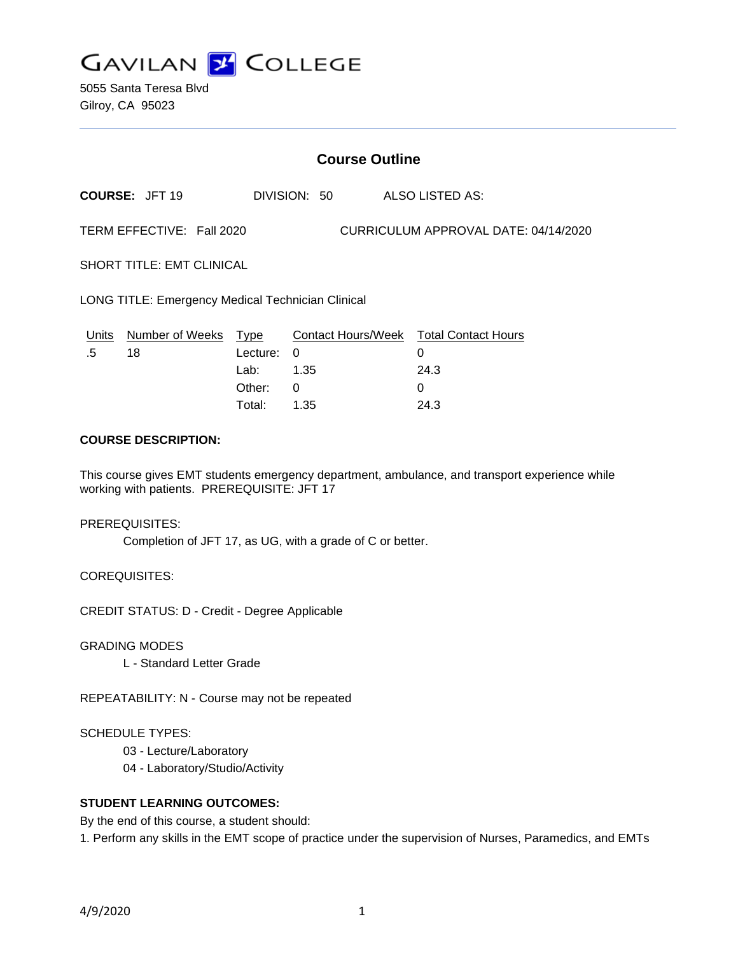

5055 Santa Teresa Blvd Gilroy, CA 95023

# **Course Outline**

**COURSE:** JFT 19 DIVISION: 50 ALSO LISTED AS:

TERM EFFECTIVE: Fall 2020 CURRICULUM APPROVAL DATE: 04/14/2020

SHORT TITLE: EMT CLINICAL

LONG TITLE: Emergency Medical Technician Clinical

|    | Units Number of Weeks Type |            | Contact Hours/Week Total Contact Hours |      |
|----|----------------------------|------------|----------------------------------------|------|
| .5 | 18                         | Lecture: 0 |                                        |      |
|    |                            | Lab: _     | 1.35                                   | 24.3 |
|    |                            | Other: 0   |                                        |      |
|    |                            | Total:     | 1.35                                   | 24.3 |

### **COURSE DESCRIPTION:**

This course gives EMT students emergency department, ambulance, and transport experience while working with patients. PREREQUISITE: JFT 17

#### PREREQUISITES:

Completion of JFT 17, as UG, with a grade of C or better.

COREQUISITES:

CREDIT STATUS: D - Credit - Degree Applicable

GRADING MODES

L - Standard Letter Grade

REPEATABILITY: N - Course may not be repeated

#### SCHEDULE TYPES:

- 03 Lecture/Laboratory
- 04 Laboratory/Studio/Activity

## **STUDENT LEARNING OUTCOMES:**

By the end of this course, a student should:

1. Perform any skills in the EMT scope of practice under the supervision of Nurses, Paramedics, and EMTs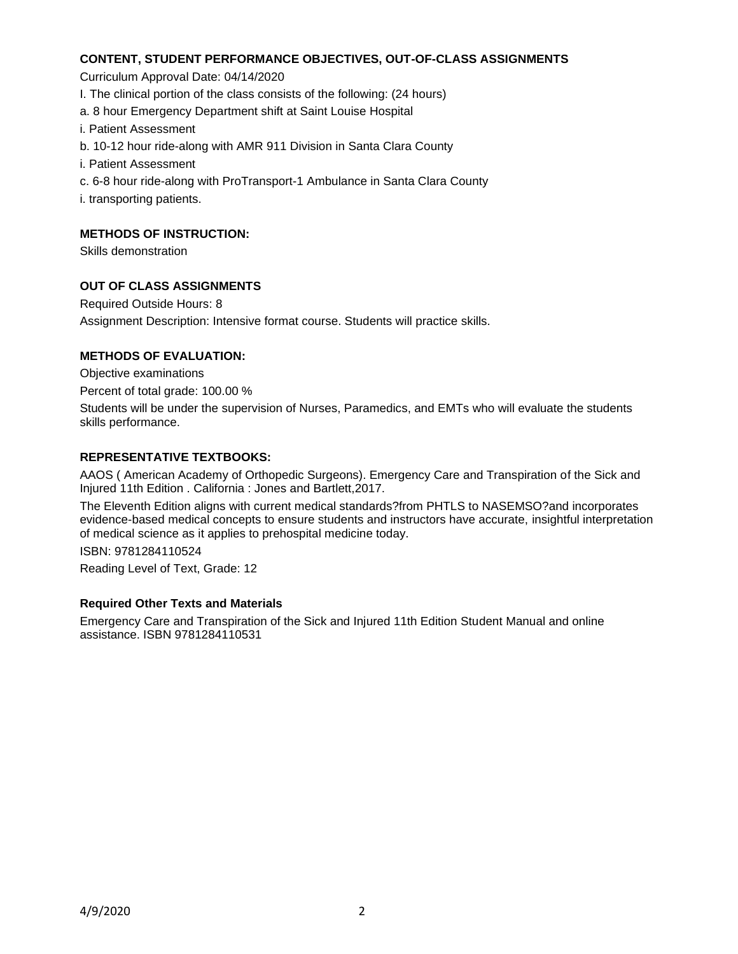### **CONTENT, STUDENT PERFORMANCE OBJECTIVES, OUT-OF-CLASS ASSIGNMENTS**

Curriculum Approval Date: 04/14/2020

- I. The clinical portion of the class consists of the following: (24 hours)
- a. 8 hour Emergency Department shift at Saint Louise Hospital
- i. Patient Assessment
- b. 10-12 hour ride-along with AMR 911 Division in Santa Clara County
- i. Patient Assessment
- c. 6-8 hour ride-along with ProTransport-1 Ambulance in Santa Clara County
- i. transporting patients.

### **METHODS OF INSTRUCTION:**

Skills demonstration

### **OUT OF CLASS ASSIGNMENTS**

Required Outside Hours: 8 Assignment Description: Intensive format course. Students will practice skills.

### **METHODS OF EVALUATION:**

Objective examinations

Percent of total grade: 100.00 %

Students will be under the supervision of Nurses, Paramedics, and EMTs who will evaluate the students skills performance.

### **REPRESENTATIVE TEXTBOOKS:**

AAOS ( American Academy of Orthopedic Surgeons). Emergency Care and Transpiration of the Sick and Injured 11th Edition . California : Jones and Bartlett,2017.

The Eleventh Edition aligns with current medical standards?from PHTLS to NASEMSO?and incorporates evidence-based medical concepts to ensure students and instructors have accurate, insightful interpretation of medical science as it applies to prehospital medicine today.

ISBN: 9781284110524

Reading Level of Text, Grade: 12

#### **Required Other Texts and Materials**

Emergency Care and Transpiration of the Sick and Injured 11th Edition Student Manual and online assistance. ISBN 9781284110531